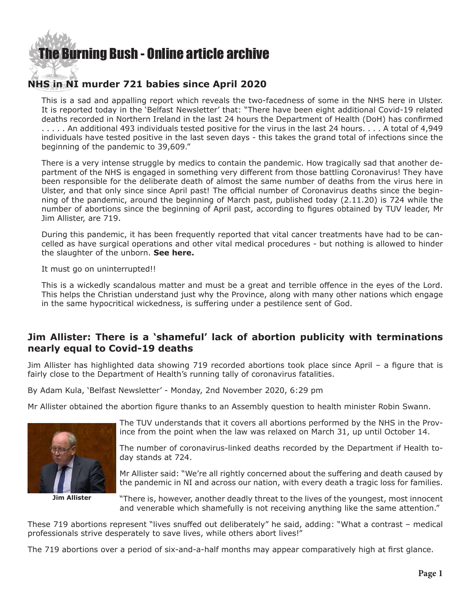

## **NHS in NI murder 721 babies since April 2020**

This is a sad and appalling report which reveals the two-facedness of some in the NHS here in Ulster. It is reported today in the 'Belfast Newsletter' that: "There have been eight additional Covid-19 related deaths recorded in Northern Ireland in the last 24 hours the Department of Health (DoH) has confirmed . . . . . An additional 493 individuals tested positive for the virus in the last 24 hours. . . . A total of 4,949 individuals have tested positive in the last seven days - this takes the grand total of infections since the beginning of the pandemic to 39,609."

There is a very intense struggle by medics to contain the pandemic. How tragically sad that another department of the NHS is engaged in something very different from those battling Coronavirus! They have been responsible for the deliberate death of almost the same number of deaths from the virus here in Ulster, and that only since since April past! The official number of Coronavirus deaths since the beginning of the pandemic, around the beginning of March past, published today (2.11.20) is 724 while the number of abortions since the beginning of April past, according to figures obtained by TUV leader, Mr Jim Allister, are 719.

During this pandemic, it has been frequently reported that vital cancer treatments have had to be cancelled as have surgical operations and other vital medical procedures - but nothing is allowed to hinder the slaughter of the unborn. **[See here.](https://www.bma.org.uk/bma-media-centre/bma-doctors-tell-of-patients-being-neglected-and-their-condition-worsening-as-bma-research-indicates-millions-of-patients-in-england-have-had-surgery-and-appointments-cancelled-due-to-covid)**

It must go on uninterrupted!!

This is a wickedly scandalous matter and must be a great and terrible offence in the eyes of the Lord. This helps the Christian understand just why the Province, along with many other nations which engage in the same hypocritical wickedness, is suffering under a pestilence sent of God.

## **Jim Allister: There is a 'shameful' lack of abortion publicity with terminations nearly equal to Covid-19 deaths**

Jim Allister has highlighted data showing 719 recorded abortions took place since April – a figure that is fairly close to the Department of Health's running tally of coronavirus fatalities.

By Adam Kula, 'Belfast Newsletter' - Monday, 2nd November 2020, 6:29 pm

Mr Allister obtained the abortion figure thanks to an Assembly question to health minister Robin Swann.



**Jim Allister**

The TUV understands that it covers all abortions performed by the NHS in the Province from the point when the law was relaxed on March 31, up until October 14.

The number of coronavirus-linked deaths recorded by the Department if Health today stands at 724.

Mr Allister said: "We're all rightly concerned about the suffering and death caused by the pandemic in NI and across our nation, with every death a tragic loss for families.

"There is, however, another deadly threat to the lives of the youngest, most innocent and venerable which shamefully is not receiving anything like the same attention."

These 719 abortions represent "lives snuffed out deliberately" he said, adding: "What a contrast – medical professionals strive desperately to save lives, while others abort lives!"

The 719 abortions over a period of six-and-a-half months may appear comparatively high at first glance.